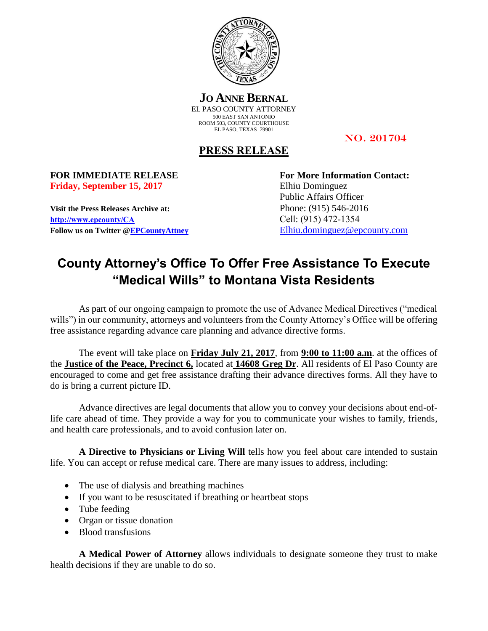

**JO ANNE BERNAL** EL PASO COUNTY ATTORNEY 500 EAST SAN ANTONIO ROOM 503, COUNTY COURTHOUSE EL PASO, TEXAS 79901

NO. 201704

## **PRESS RELEASE**

**Friday, September 15, 2017** Elhiu Dominguez

**Visit the Press Releases Archive at:** Phone: (915) 546-2016 **[http://www.epcounty/CA](http://www.epcounty/CA/releases.htm)** Cell: (915) 472-1354 **Follow us on Twitter [@EPCountyAttney](http://twitter.com/EPCountyAttney)** [Elhiu.dominguez@epcounty.com](mailto:Elhiu.dominguez@epcounty.com)

**FOR IMMEDIATE RELEASE For More Information Contact:** Public Affairs Officer

## **County Attorney's Office To Offer Free Assistance To Execute "Medical Wills" to Montana Vista Residents**

As part of our ongoing campaign to promote the use of Advance Medical Directives ("medical wills") in our community, attorneys and volunteers from the County Attorney's Office will be offering free assistance regarding advance care planning and advance directive forms.

The event will take place on **Friday July 21, 2017**, from **9:00 to 11:00 a.m**. at the offices of the **Justice of the Peace, Precinct 6,** located at **14608 Greg Dr**. All residents of El Paso County are encouraged to come and get free assistance drafting their advance directives forms. All they have to do is bring a current picture ID.

Advance directives are legal documents that allow you to convey your decisions about end-oflife care ahead of time. They provide a way for you to communicate your wishes to family, friends, and health care professionals, and to avoid confusion later on.

**A Directive to Physicians or Living Will** tells how you feel about care intended to sustain life. You can accept or refuse medical care. There are many issues to address, including:

- The use of dialysis and breathing machines
- If you want to be resuscitated if breathing or heartbeat stops
- Tube feeding
- Organ or tissue donation
- Blood transfusions

**A Medical Power of Attorney** allows individuals to designate someone they trust to make health decisions if they are unable to do so.